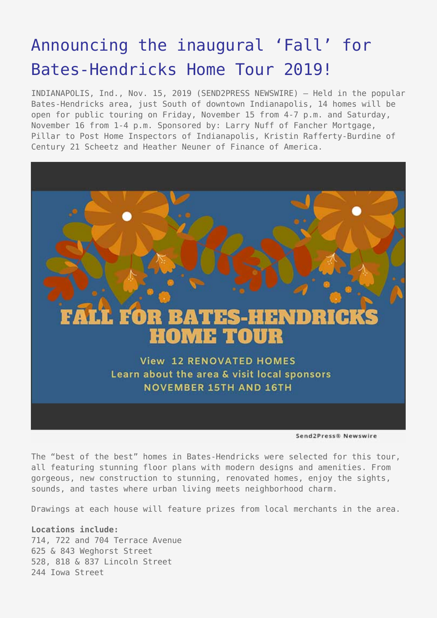## [Announcing the inaugural 'Fall' for](https://www.send2press.com/wire/announcing-the-inaugural-fall-for-bates-hendricks-home-tour-2019/) [Bates-Hendricks Home Tour 2019!](https://www.send2press.com/wire/announcing-the-inaugural-fall-for-bates-hendricks-home-tour-2019/)

INDIANAPOLIS, Ind., Nov. 15, 2019 (SEND2PRESS NEWSWIRE) — Held in the popular Bates-Hendricks area, just South of downtown Indianapolis, 14 homes will be open for public touring on Friday, November 15 from 4-7 p.m. and Saturday, November 16 from 1-4 p.m. Sponsored by: Larry Nuff of Fancher Mortgage, Pillar to Post Home Inspectors of Indianapolis, Kristin Rafferty-Burdine of Century 21 Scheetz and Heather Neuner of Finance of America.



Send2Press® Newswire

The "best of the best" homes in Bates-Hendricks were selected for this tour, all featuring stunning floor plans with modern designs and amenities. From gorgeous, new construction to stunning, renovated homes, enjoy the sights, sounds, and tastes where urban living meets neighborhood charm.

Drawings at each house will feature prizes from local merchants in the area.

**Locations include:** 714, 722 and 704 Terrace Avenue 625 & 843 Weghorst Street 528, 818 & 837 Lincoln Street 244 Iowa Street